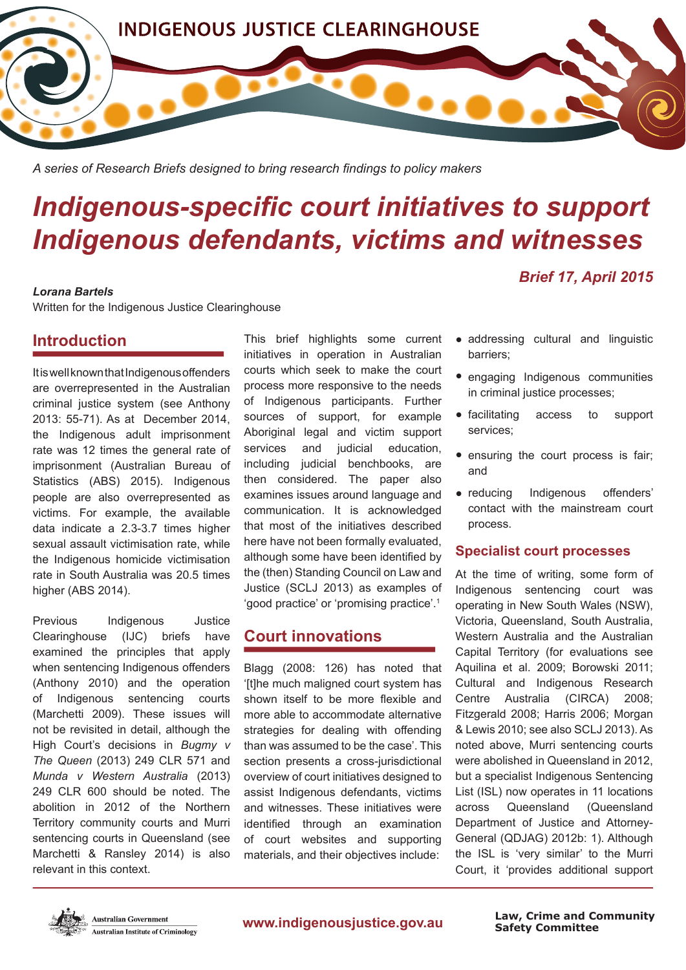

*A series of Research Briefs designed to bring research fndings to policy makers*

# *Indigenous-specifc court initiatives to support Indigenous defendants, victims and witnesses*

#### *Lorana Bartels*

Written for the Indigenous Justice Clearinghouse

# **Introduction**

It is well known that Indigenous offenders are overrepresented in the Australian criminal justice system (see Anthony 2013: 55-71). As at December 2014, the Indigenous adult imprisonment rate was 12 times the general rate of imprisonment (Australian Bureau of Statistics (ABS) 2015). Indigenous people are also overrepresented as victims. For example, the available data indicate a 2.3-3.7 times higher sexual assault victimisation rate, while the Indigenous homicide victimisation rate in South Australia was 20.5 times higher (ABS 2014).

Previous Indigenous Justice Clearinghouse (IJC) briefs have examined the principles that apply when sentencing Indigenous offenders (Anthony 2010) and the operation of Indigenous sentencing courts (Marchetti 2009). These issues will not be revisited in detail, although the High Court's decisions in *Bugmy v The Queen* (2013) 249 CLR 571 and *Munda v Western Australia* (2013) 249 CLR 600 should be noted. The abolition in 2012 of the Northern Territory community courts and Murri sentencing courts in Queensland (see Marchetti & Ransley 2014) is also relevant in this context.

This brief highlights some current initiatives in operation in Australian courts which seek to make the court process more responsive to the needs of Indigenous participants. Further sources of support, for example Aboriginal legal and victim support services and judicial education, including judicial benchbooks, are then considered. The paper also examines issues around language and communication. It is acknowledged that most of the initiatives described here have not been formally evaluated, although some have been identifed by the (then) Standing Council on Law and Justice (SCLJ 2013) as examples of 'good practice' or 'promising practice'.1

# **Court innovations**

Blagg (2008: 126) has noted that '[t]he much maligned court system has shown itself to be more fexible and more able to accommodate alternative strategies for dealing with offending than was assumed to be the case'. This section presents a cross-jurisdictional overview of court initiatives designed to assist Indigenous defendants, victims and witnesses. These initiatives were identifed through an examination of court websites and supporting materials, and their objectives include:

• addressing cultural and linguistic barriers;

*Brief 17, April 2015*

- engaging Indigenous communities in criminal justice processes;
- facilitating access to support services;
- ensuring the court process is fair; and
- reducing Indigenous offenders' contact with the mainstream court process.

### **Specialist court processes**

At the time of writing, some form of Indigenous sentencing court was operating in New South Wales (NSW), Victoria, Queensland, South Australia, Western Australia and the Australian Capital Territory (for evaluations see Aquilina et al. 2009; Borowski 2011; Cultural and Indigenous Research Centre Australia (CIRCA) 2008; Fitzgerald 2008; Harris 2006; Morgan & Lewis 2010; see also SCLJ 2013). As noted above, Murri sentencing courts were abolished in Queensland in 2012, but a specialist Indigenous Sentencing List (ISL) now operates in 11 locations across Queensland (Queensland Department of Justice and Attorney-General (QDJAG) 2012b: 1). Although the ISL is 'very similar' to the Murri Court, it 'provides additional support



www.indigenousjustice.gov.au

**Safety Committee Law, Crime and Community**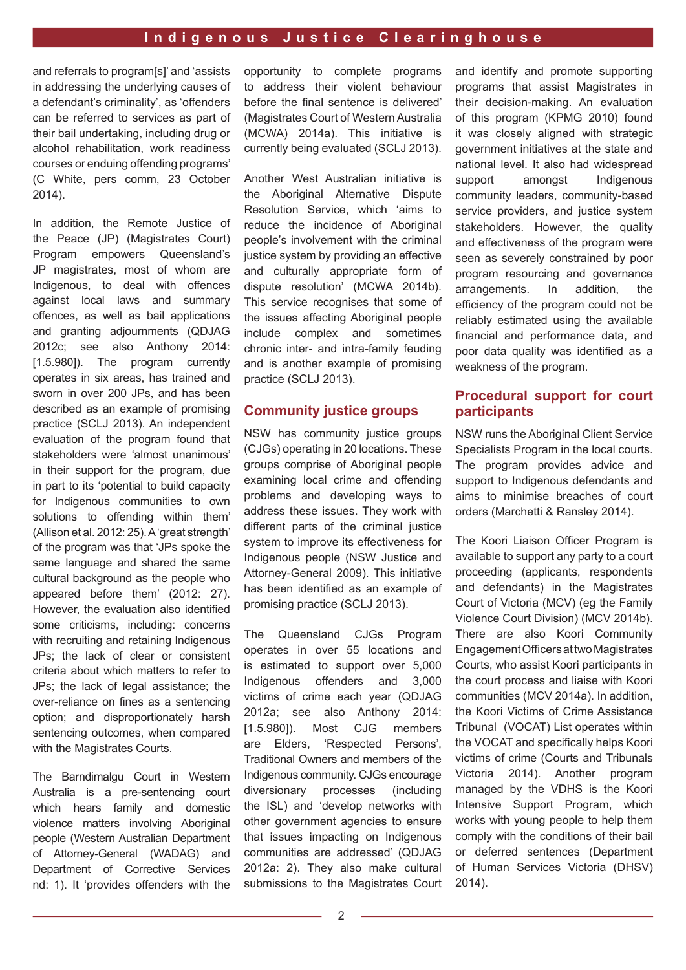and referrals to program[s]' and 'assists in addressing the underlying causes of a defendant's criminality', as 'offenders can be referred to services as part of their bail undertaking, including drug or alcohol rehabilitation, work readiness courses or enduing offending programs' (C White, pers comm, 23 October 2014).

In addition, the Remote Justice of the Peace (JP) (Magistrates Court) Program empowers Queensland's JP magistrates, most of whom are Indigenous, to deal with offences against local laws and summary offences, as well as bail applications and granting adjournments (QDJAG 2012c; see also Anthony 2014: [1.5.980]). The program currently operates in six areas, has trained and sworn in over 200 JPs, and has been described as an example of promising practice (SCLJ 2013). An independent evaluation of the program found that stakeholders were 'almost unanimous' in their support for the program, due in part to its 'potential to build capacity for Indigenous communities to own solutions to offending within them' (Allison et al. 2012: 25). A 'great strength' of the program was that 'JPs spoke the same language and shared the same cultural background as the people who appeared before them' (2012: 27). However, the evaluation also identifed some criticisms, including: concerns with recruiting and retaining Indigenous JPs; the lack of clear or consistent criteria about which matters to refer to JPs; the lack of legal assistance; the over-reliance on fnes as a sentencing option; and disproportionately harsh sentencing outcomes, when compared with the Magistrates Courts.

The Barndimalgu Court in Western Australia is a pre-sentencing court which hears family and domestic violence matters involving Aboriginal people (Western Australian Department of Attorney-General (WADAG) and Department of Corrective Services nd: 1). It 'provides offenders with the opportunity to complete programs to address their violent behaviour before the final sentence is delivered' (Magistrates Court of Western Australia (MCWA) 2014a). This initiative is currently being evaluated (SCLJ 2013).

Another West Australian initiative is the Aboriginal Alternative Dispute Resolution Service, which 'aims to reduce the incidence of Aboriginal people's involvement with the criminal justice system by providing an effective and culturally appropriate form of dispute resolution' (MCWA 2014b). This service recognises that some of the issues affecting Aboriginal people include complex and sometimes chronic inter- and intra-family feuding and is another example of promising practice (SCLJ 2013).

#### **Community justice groups**

NSW has community justice groups (CJGs) operating in 20 locations. These groups comprise of Aboriginal people examining local crime and offending problems and developing ways to address these issues. They work with different parts of the criminal justice system to improve its effectiveness for Indigenous people (NSW Justice and Attorney-General 2009). This initiative has been identifed as an example of promising practice (SCLJ 2013).

The Queensland CJGs Program operates in over 55 locations and is estimated to support over 5,000 Indigenous offenders and 3,000 victims of crime each year (QDJAG 2012a; see also Anthony 2014: [1.5.980]). Most CJG members are Elders, 'Respected Persons', Traditional Owners and members of the Indigenous community. CJGs encourage diversionary processes (including the ISL) and 'develop networks with other government agencies to ensure that issues impacting on Indigenous communities are addressed' (QDJAG 2012a: 2). They also make cultural submissions to the Magistrates Court and identify and promote supporting programs that assist Magistrates in their decision-making. An evaluation of this program (KPMG 2010) found it was closely aligned with strategic government initiatives at the state and national level. It also had widespread support amongst Indigenous community leaders, community-based service providers, and justice system stakeholders. However, the quality and effectiveness of the program were seen as severely constrained by poor program resourcing and governance arrangements. In addition, the efficiency of the program could not be reliably estimated using the available fnancial and performance data, and poor data quality was identifed as a weakness of the program.

### **Procedural support for court participants**

NSW runs the Aboriginal Client Service Specialists Program in the local courts. The program provides advice and support to Indigenous defendants and aims to minimise breaches of court orders (Marchetti & Ransley 2014).

The Koori Liaison Officer Program is available to support any party to a court proceeding (applicants, respondents and defendants) in the Magistrates Court of Victoria (MCV) (eg the Family Violence Court Division) (MCV 2014b). There are also Koori Community Engagement Officers at two Magistrates Courts, who assist Koori participants in the court process and liaise with Koori communities (MCV 2014a). In addition, the Koori Victims of Crime Assistance Tribunal (VOCAT) List operates within the VOCAT and specifically helps Koori victims of crime (Courts and Tribunals Victoria 2014). Another program managed by the VDHS is the Koori Intensive Support Program, which works with young people to help them comply with the conditions of their bail or deferred sentences (Department of Human Services Victoria (DHSV) 2014).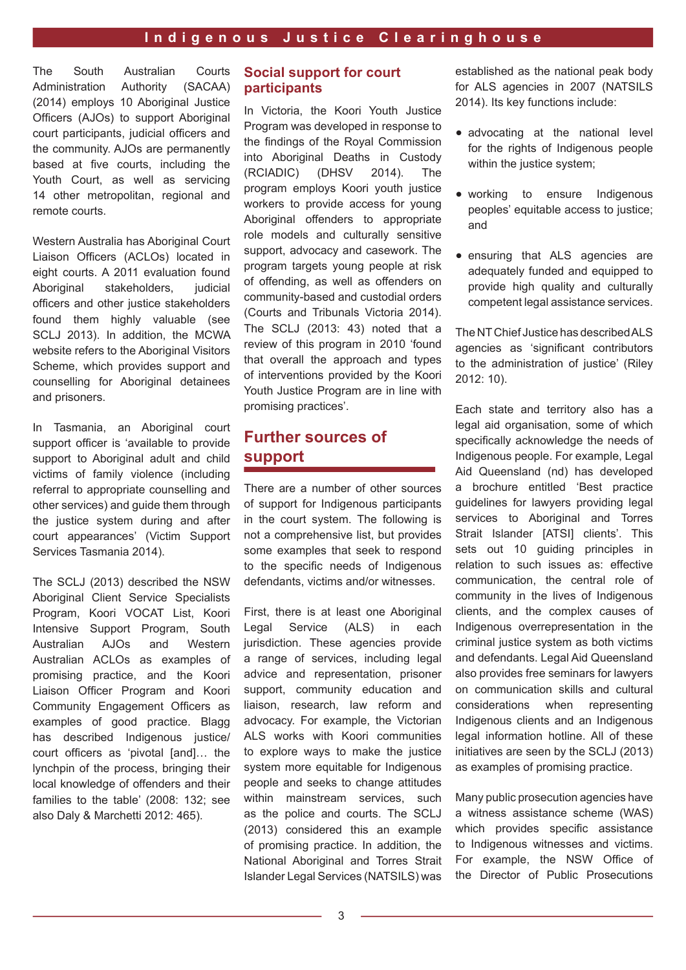The South Australian Courts Administration Authority (SACAA) (2014) employs 10 Aboriginal Justice Officers (AJOs) to support Aboriginal court participants, judicial officers and the community. AJOs are permanently based at five courts, including the Youth Court, as well as servicing 14 other metropolitan, regional and remote courts.

Western Australia has Aboriginal Court Liaison Officers (ACLOs) located in eight courts. A 2011 evaluation found Aboriginal stakeholders, judicial officers and other justice stakeholders found them highly valuable (see SCLJ 2013). In addition, the MCWA website refers to the Aboriginal Visitors Scheme, which provides support and counselling for Aboriginal detainees and prisoners.

In Tasmania, an Aboriginal court support officer is 'available to provide support to Aboriginal adult and child victims of family violence (including referral to appropriate counselling and other services) and guide them through the justice system during and after court appearances' (Victim Support Services Tasmania 2014).

The SCLJ (2013) described the NSW Aboriginal Client Service Specialists Program, Koori VOCAT List, Koori Intensive Support Program, South Australian AJOs and Western Australian ACLOs as examples of promising practice, and the Koori Liaison Officer Program and Koori Community Engagement Officers as examples of good practice. Blagg has described Indigenous justice/ court officers as 'pivotal [and]... the lynchpin of the process, bringing their local knowledge of offenders and their families to the table' (2008: 132; see also Daly & Marchetti 2012: 465).

### **Social support for court participants**

In Victoria, the Koori Youth Justice Program was developed in response to the findings of the Royal Commission into Aboriginal Deaths in Custody (RCIADIC) (DHSV 2014). The program employs Koori youth justice workers to provide access for young Aboriginal offenders to appropriate role models and culturally sensitive support, advocacy and casework. The program targets young people at risk of offending, as well as offenders on community-based and custodial orders (Courts and Tribunals Victoria 2014). The SCLJ (2013: 43) noted that a review of this program in 2010 'found that overall the approach and types of interventions provided by the Koori Youth Justice Program are in line with promising practices'.

# **Further sources of support**

There are a number of other sources of support for Indigenous participants in the court system. The following is not a comprehensive list, but provides some examples that seek to respond to the specific needs of Indigenous defendants, victims and/or witnesses.

First, there is at least one Aboriginal Legal Service (ALS) in each jurisdiction. These agencies provide a range of services, including legal advice and representation, prisoner support, community education and liaison, research, law reform and advocacy. For example, the Victorian ALS works with Koori communities to explore ways to make the justice system more equitable for Indigenous people and seeks to change attitudes within mainstream services, such as the police and courts. The SCLJ (2013) considered this an example of promising practice. In addition, the National Aboriginal and Torres Strait Islander Legal Services (NATSILS) was

established as the national peak body for ALS agencies in 2007 (NATSILS 2014). Its key functions include:

- advocating at the national level for the rights of Indigenous people within the justice system;
- working to ensure Indigenous peoples' equitable access to justice; and
- ensuring that ALS agencies are adequately funded and equipped to provide high quality and culturally competent legal assistance services.

The NT Chief Justice has described ALS agencies as 'significant contributors to the administration of justice' (Riley 2012: 10).

Each state and territory also has a legal aid organisation, some of which specifically acknowledge the needs of Indigenous people. For example, Legal Aid Queensland (nd) has developed a brochure entitled 'Best practice guidelines for lawyers providing legal services to Aboriginal and Torres Strait Islander [ATSI] clients'. This sets out 10 quiding principles in relation to such issues as: effective communication, the central role of community in the lives of Indigenous clients, and the complex causes of Indigenous overrepresentation in the criminal justice system as both victims and defendants. Legal Aid Queensland also provides free seminars for lawyers on communication skills and cultural considerations when representing Indigenous clients and an Indigenous legal information hotline. All of these initiatives are seen by the SCLJ (2013) as examples of promising practice.

Many public prosecution agencies have a witness assistance scheme (WAS) which provides specific assistance to Indigenous witnesses and victims. For example, the NSW Office of the Director of Public Prosecutions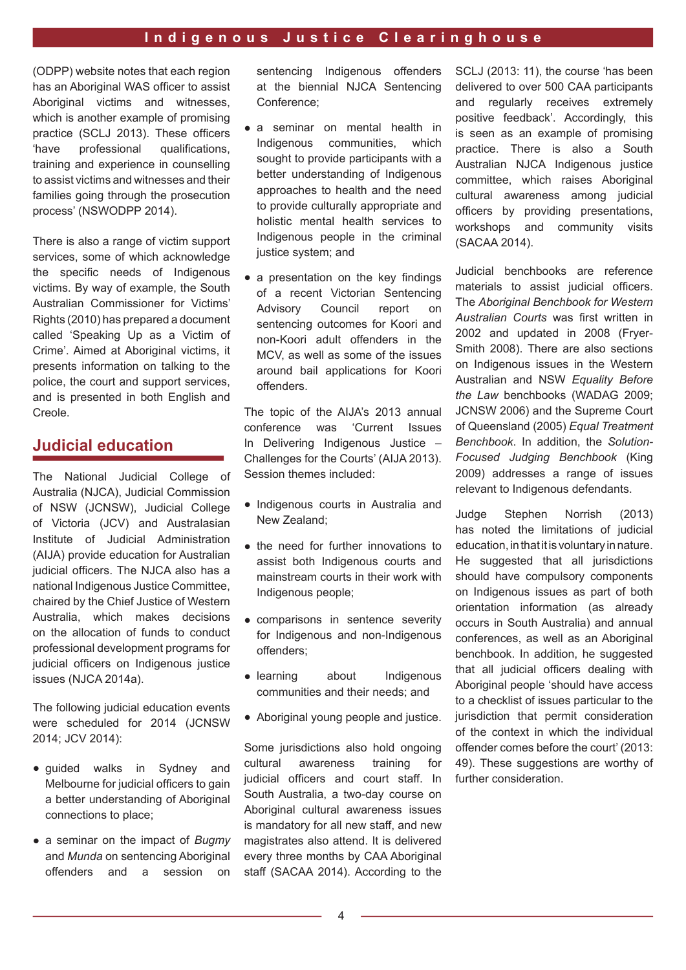(ODPP) website notes that each region has an Aboriginal WAS officer to assist Aboriginal victims and witnesses, which is another example of promising practice (SCLJ 2013). These officers 'have professional qualifcations, training and experience in counselling to assist victims and witnesses and their families going through the prosecution process' (NSWODPP 2014).

There is also a range of victim support services, some of which acknowledge the specifc needs of Indigenous victims. By way of example, the South Australian Commissioner for Victims' Rights (2010) has prepared a document called 'Speaking Up as a Victim of Crime'. Aimed at Aboriginal victims, it presents information on talking to the police, the court and support services, and is presented in both English and Creole.

# **Judicial education**

The National Judicial College of Australia (NJCA), Judicial Commission of NSW (JCNSW), Judicial College of Victoria (JCV) and Australasian Institute of Judicial Administration (AIJA) provide education for Australian judicial officers. The NJCA also has a national Indigenous Justice Committee, chaired by the Chief Justice of Western Australia, which makes decisions on the allocation of funds to conduct professional development programs for judicial officers on Indigenous justice issues (NJCA 2014a).

The following judicial education events were scheduled for 2014 (JCNSW 2014; JCV 2014):

- guided walks in Sydney and Melbourne for judicial officers to gain a better understanding of Aboriginal connections to place;
- a seminar on the impact of *Bugmy*  and *Munda* on sentencing Aboriginal offenders and a session on

sentencing Indigenous offenders at the biennial NJCA Sentencing Conference;

- a seminar on mental health in<br>Indigenous communities, which Indigenous communities, sought to provide participants with a better understanding of Indigenous approaches to health and the need to provide culturally appropriate and holistic mental health services to Indigenous people in the criminal justice system; and
- a presentation on the key findings of a recent Victorian Sentencing Advisory Council report on sentencing outcomes for Koori and non-Koori adult offenders in the MCV, as well as some of the issues around bail applications for Koori offenders.

The topic of the AIJA's 2013 annual conference was 'Current Issues In Delivering Indigenous Justice – Challenges for the Courts' (AIJA 2013). Session themes included:

- Indigenous courts in Australia and New Zealand;
- the need for further innovations to assist both Indigenous courts and mainstream courts in their work with Indigenous people;
- comparisons in sentence severity for Indigenous and non-Indigenous offenders;
- learning about Indigenous communities and their needs; and
- Aboriginal young people and justice.

Some jurisdictions also hold ongoing cultural awareness training for judicial officers and court staff. In South Australia, a two-day course on Aboriginal cultural awareness issues is mandatory for all new staff, and new magistrates also attend. It is delivered every three months by CAA Aboriginal staff (SACAA 2014). According to the

SCLJ (2013: 11), the course 'has been delivered to over 500 CAA participants and regularly receives extremely positive feedback'. Accordingly, this is seen as an example of promising practice. There is also a South Australian NJCA Indigenous justice committee, which raises Aboriginal cultural awareness among judicial officers by providing presentations, workshops and community visits (SACAA 2014).

Judicial benchbooks are reference materials to assist judicial officers. The *Aboriginal Benchbook for Western Australian Courts* was frst written in 2002 and updated in 2008 (Fryer-Smith 2008). There are also sections on Indigenous issues in the Western Australian and NSW *Equality Before the Law* benchbooks (WADAG 2009; JCNSW 2006) and the Supreme Court of Queensland (2005) *Equal Treatment Benchbook*. In addition, the *Solution-Focused Judging Benchbook* (King 2009) addresses a range of issues relevant to Indigenous defendants.

Judge Stephen Norrish (2013) has noted the limitations of judicial education, in that it is voluntary in nature. He suggested that all jurisdictions should have compulsory components on Indigenous issues as part of both orientation information (as already occurs in South Australia) and annual conferences, as well as an Aboriginal benchbook. In addition, he suggested that all judicial officers dealing with Aboriginal people 'should have access to a checklist of issues particular to the jurisdiction that permit consideration of the context in which the individual offender comes before the court' (2013: 49). These suggestions are worthy of further consideration.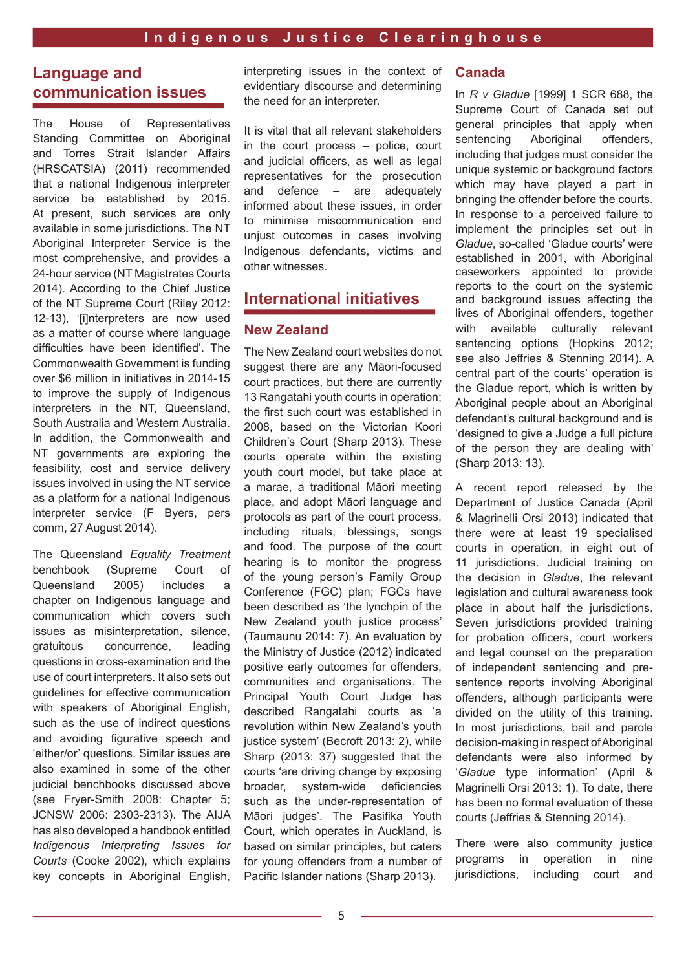# **Language and communication issues**

The House of Representatives Standing Committee on Aboriginal and Torres Strait Islander Affairs (HRSCATSIA) (2011) recommended that a national Indigenous interpreter service be established by 2015. At present, such services are only available in some jurisdictions. The NT Aboriginal Interpreter Service is the most comprehensive, and provides a 24-hour service (NT Magistrates Courts 2014). According to the Chief Justice of the NT Supreme Court (Riley 2012: 12-13), '[i]nterpreters are now used as a matter of course where language difficulties have been identified'. The Commonwealth Government is funding over \$6 million in initiatives in 2014-15 to improve the supply of Indigenous interpreters in the NT, Queensland, South Australia and Western Australia. In addition, the Commonwealth and NT governments are exploring the feasibility, cost and service delivery issues involved in using the NT service as a platform for a national Indigenous interpreter service (F Byers, pers comm, 27 August 2014).

The Queensland *Equality Treatment* benchbook (Supreme Court of Queensland 2005) includes a chapter on Indigenous language and communication which covers such issues as misinterpretation, silence, gratuitous concurrence, leading questions in cross-examination and the use of court interpreters. It also sets out guidelines for effective communication with speakers of Aboriginal English, such as the use of indirect questions and avoiding fgurative speech and 'either/or' questions. Similar issues are also examined in some of the other judicial benchbooks discussed above (see Fryer-Smith 2008: Chapter 5; JCNSW 2006: 2303-2313). The AIJA has also developed a handbook entitled *Indigenous Interpreting Issues for Courts* (Cooke 2002), which explains key concepts in Aboriginal English,

interpreting issues in the context of evidentiary discourse and determining the need for an interpreter.

It is vital that all relevant stakeholders in the court process – police, court and judicial officers, as well as legal representatives for the prosecution and defence – are adequately informed about these issues, in order to minimise miscommunication and unjust outcomes in cases involving Indigenous defendants, victims and other witnesses.

# **International initiatives**

### **New Zealand**

The New Zealand court websites do not suggest there are any Māori-focused court practices, but there are currently 13 Rangatahi youth courts in operation; the frst such court was established in 2008, based on the Victorian Koori Children's Court (Sharp 2013). These courts operate within the existing youth court model, but take place at a marae, a traditional Māori meeting place, and adopt Māori language and protocols as part of the court process, including rituals, blessings, songs and food. The purpose of the court hearing is to monitor the progress of the young person's Family Group Conference (FGC) plan; FGCs have been described as 'the lynchpin of the New Zealand youth justice process' (Taumaunu 2014: 7). An evaluation by the Ministry of Justice (2012) indicated positive early outcomes for offenders, communities and organisations. The Principal Youth Court Judge has described Rangatahi courts as 'a revolution within New Zealand's youth justice system' (Becroft 2013: 2), while Sharp (2013: 37) suggested that the courts 'are driving change by exposing broader, system-wide deficiencies such as the under-representation of Māori judges'. The Pasifika Youth Court, which operates in Auckland, is based on similar principles, but caters for young offenders from a number of Pacific Islander nations (Sharp 2013).

#### **Canada**

In *R v Gladue* [1999] 1 SCR 688, the Supreme Court of Canada set out general principles that apply when sentencing Aboriginal offenders, including that judges must consider the unique systemic or background factors which may have played a part in bringing the offender before the courts. In response to a perceived failure to implement the principles set out in *Gladue*, so-called 'Gladue courts' were established in 2001, with Aboriginal caseworkers appointed to provide reports to the court on the systemic and background issues affecting the lives of Aboriginal offenders, together with available culturally relevant sentencing options (Hopkins 2012; see also Jeffries & Stenning 2014). A central part of the courts' operation is the Gladue report, which is written by Aboriginal people about an Aboriginal defendant's cultural background and is 'designed to give a Judge a full picture of the person they are dealing with' (Sharp 2013: 13).

A recent report released by the Department of Justice Canada (April & Magrinelli Orsi 2013) indicated that there were at least 19 specialised courts in operation, in eight out of 11 jurisdictions. Judicial training on the decision in *Gladue*, the relevant legislation and cultural awareness took place in about half the jurisdictions. Seven jurisdictions provided training for probation officers, court workers and legal counsel on the preparation of independent sentencing and presentence reports involving Aboriginal offenders, although participants were divided on the utility of this training. In most jurisdictions, bail and parole decision-making in respect of Aboriginal defendants were also informed by '*Gladue* type information' (April & Magrinelli Orsi 2013: 1). To date, there has been no formal evaluation of these courts (Jeffries & Stenning 2014).

There were also community justice programs in operation in nine jurisdictions, including court and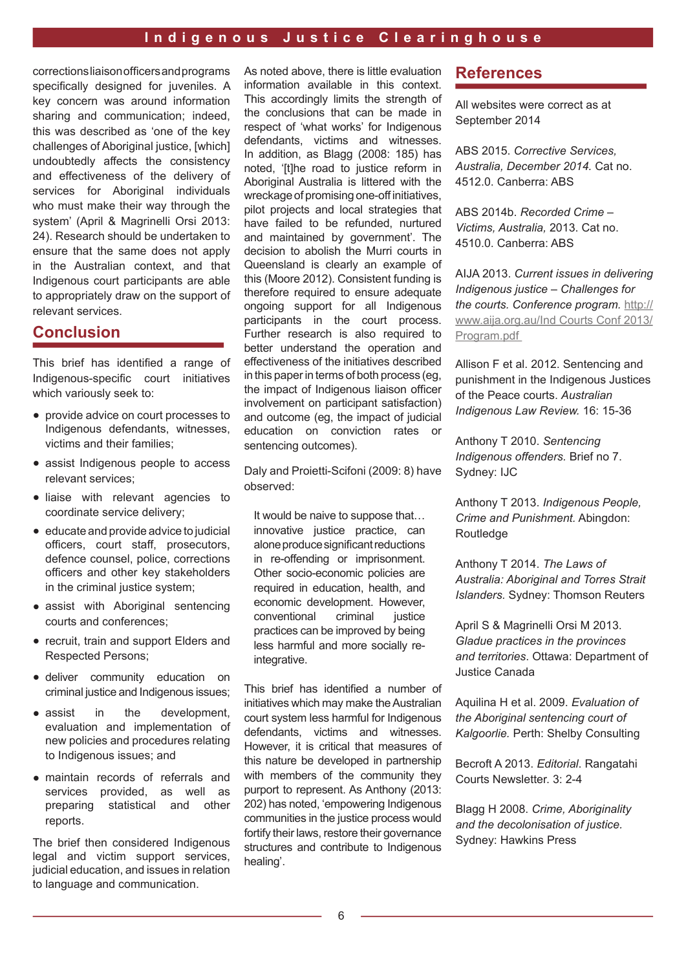corrections liaison officers and programs specifically designed for juveniles. A key concern was around information sharing and communication; indeed, this was described as 'one of the key challenges of Aboriginal justice, [which] undoubtedly affects the consistency and effectiveness of the delivery of services for Aboriginal individuals who must make their way through the system' (April & Magrinelli Orsi 2013: 24). Research should be undertaken to ensure that the same does not apply in the Australian context, and that Indigenous court participants are able to appropriately draw on the support of relevant services.

# **Conclusion**

This brief has identifed a range of Indigenous-specifc court initiatives which variously seek to:

- provide advice on court processes to Indigenous defendants, witnesses, victims and their families;
- assist Indigenous people to access relevant services;
- liaise with relevant agencies to coordinate service delivery;
- educate and provide advice to judicial officers, court staff, prosecutors, defence counsel, police, corrections officers and other key stakeholders in the criminal justice system;
- assist with Aboriginal sentencing courts and conferences;
- recruit, train and support Elders and Respected Persons;
- deliver community education on criminal justice and Indigenous issues;
- assist in the development, evaluation and implementation of new policies and procedures relating to Indigenous issues; and
- maintain records of referrals and services provided, as well as preparing statistical and other reports.

The brief then considered Indigenous legal and victim support services, judicial education, and issues in relation to language and communication.

As noted above, there is little evaluation information available in this context. This accordingly limits the strength of the conclusions that can be made in respect of 'what works' for Indigenous defendants, victims and witnesses. In addition, as Blagg (2008: 185) has noted. 'Itlhe road to justice reform in Aboriginal Australia is littered with the wreckage of promising one-off initiatives, pilot projects and local strategies that have failed to be refunded, nurtured and maintained by government'. The decision to abolish the Murri courts in Queensland is clearly an example of this (Moore 2012). Consistent funding is therefore required to ensure adequate ongoing support for all Indigenous participants in the court process. Further research is also required to better understand the operation and effectiveness of the initiatives described in this paper in terms of both process (eg, the impact of Indigenous liaison officer involvement on participant satisfaction) and outcome (eg, the impact of judicial education on conviction rates or sentencing outcomes).

Daly and Proietti-Scifoni (2009: 8) have observed:

It would be naive to suppose that... innovative justice practice, can alone produce signifcant reductions in re-offending or imprisonment. Other socio-economic policies are required in education, health, and economic development. However, conventional criminal justice practices can be improved by being less harmful and more socially reintegrative.

This brief has identifed a number of initiatives which may make the Australian court system less harmful for Indigenous defendants, victims and witnesses. However, it is critical that measures of this nature be developed in partnership with members of the community they purport to represent. As Anthony (2013: 202) has noted, 'empowering Indigenous communities in the justice process would fortify their laws, restore their governance structures and contribute to Indigenous healing'.

# **References**

All websites were correct as at September 2014

ABS 2015. *Corrective Services, Australia, December 2014.* Cat no. 4512.0. Canberra: ABS

ABS 2014b. *Recorded Crime – Victims, Australia,* 2013. Cat no. 4510.0. Canberra: ABS

AIJA 2013. *Current issues in delivering Indigenous justice – Challenges for the courts. Conference program.* http:// www.aija.org.au/Ind Courts Conf 2013/ Program.pdf

Allison F et al. 2012. Sentencing and punishment in the Indigenous Justices of the Peace courts. *Australian Indigenous Law Review.* 16: 15-36

Anthony T 2010. *Sentencing Indigenous offenders.* Brief no 7. Sydney: IJC

Anthony T 2013. *Indigenous People, Crime and Punishment.* Abingdon: Routledge

Anthony T 2014. *The Laws of Australia: Aboriginal and Torres Strait Islanders.* Sydney: Thomson Reuters

April S & Magrinelli Orsi M 2013. *Gladue practices in the provinces and territories*. Ottawa: Department of Justice Canada

Aquilina H et al. 2009. *Evaluation of the Aboriginal sentencing court of Kalgoorlie.* Perth: Shelby Consulting

Becroft A 2013. *Editorial*. Rangatahi Courts Newsletter. 3: 2-4

Blagg H 2008. *Crime, Aboriginality and the decolonisation of justice.* Sydney: Hawkins Press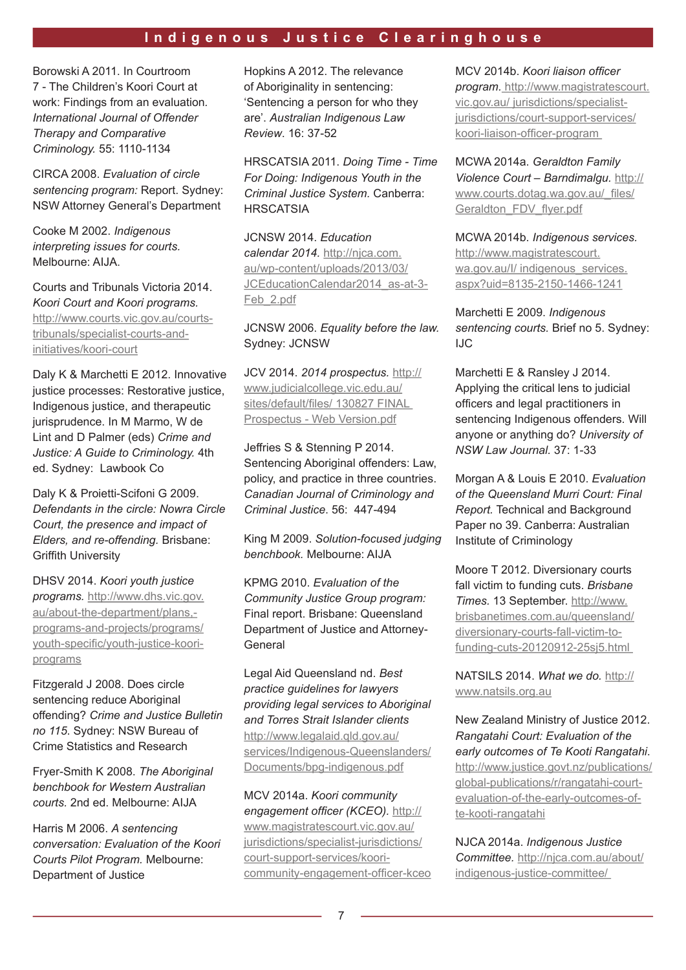Borowski A 2011. In Courtroom 7 - The Children's Koori Court at work: Findings from an evaluation*. International Journal of Offender Therapy and Comparative Criminology.* 55: 1110-1134

CIRCA 2008. *Evaluation of circle sentencing program:* Report. Sydney: NSW Attorney General's Department

Cooke M 2002. *Indigenous interpreting issues for courts.* Melbourne: AIJA.

Courts and Tribunals Victoria 2014. *Koori Court and Koori programs.*  http://www.courts.vic.gov.au/courtstribunals/specialist-courts-and-

initiatives/koori-court

Daly K & Marchetti E 2012. Innovative justice processes: Restorative justice, Indigenous justice, and therapeutic jurisprudence. In M Marmo, W de Lint and D Palmer (eds) *Crime and Justice: A Guide to Criminology.* 4th ed. Sydney: Lawbook Co

Daly K & Proietti-Scifoni G 2009. *Defendants in the circle: Nowra Circle Court, the presence and impact of Elders, and re-offending.* Brisbane: **Griffith University** 

DHSV 2014. *Koori youth justice programs.* http://www.dhs.vic.gov. au/about-the-department/plans, programs-and-projects/programs/ youth-specific/youth-justice-kooriprograms

Fitzgerald J 2008. Does circle sentencing reduce Aboriginal offending? *Crime and Justice Bulletin no 115*. Sydney: NSW Bureau of Crime Statistics and Research

Fryer-Smith K 2008. *The Aboriginal benchbook for Western Australian courts.* 2nd ed. Melbourne: AIJA

Harris M 2006. *A sentencing conversation: Evaluation of the Koori Courts Pilot Program.* Melbourne: Department of Justice

Hopkins A 2012. The relevance of Aboriginality in sentencing: 'Sentencing a person for who they are'. *Australian Indigenous Law Review*. 16: 37-52

HRSCATSIA 2011. *Doing Time - Time For Doing: Indigenous Youth in the Criminal Justice System.* Canberra: **HRSCATSIA** 

JCNSW 2014. *Education calendar 2014.* http://njca.com. au/wp-content/uploads/2013/03/ JCEducationCalendar2014\_as-at-3- Feb\_2.pdf

### JCNSW 2006. *Equality before the law.* Sydney: JCNSW

JCV 2014. *2014 prospectus.* http:// www.judicialcollege.vic.edu.au/ sites/default/files/ 130827 FINAL Prospectus - Web Version.pdf

Jeffries S & Stenning P 2014. Sentencing Aboriginal offenders: Law, policy, and practice in three countries. *Canadian Journal of Criminology and Criminal Justice*. 56: 447-494

King M 2009. *Solution-focused judging benchbook.* Melbourne: AIJA

KPMG 2010. *Evaluation of the Community Justice Group program:*  Final report. Brisbane: Queensland Department of Justice and Attorney-General

Legal Aid Queensland nd. *Best practice guidelines for lawyers providing legal services to Aboriginal and Torres Strait Islander clients*  http://www.legalaid.qld.gov.au/ services/Indigenous-Queenslanders/ Documents/bpg-indigenous.pdf

MCV 2014a. *Koori community*  engagement officer (KCEO). http:// www.magistratescourt.vic.gov.au/ jurisdictions/specialist-jurisdictions/ court-support-services/kooricommunity-engagement-officer-kceo MCV 2014b. Koori liaison officer

*program.* http://www.magistratescourt. vic.gov.au/ jurisdictions/specialistjurisdictions/court-support-services/ koori-liaison-officer-program

MCWA 2014a. *Geraldton Family Violence Court – Barndimalgu.* http:// www.courts.dotag.wa.gov.au/ files/ Geraldton FDV flver.pdf

MCWA 2014b. *Indigenous services.* http://www.magistratescourt. wa.gov.au/l/ indigenous\_services. aspx?uid=8135-2150-1466-1241

Marchetti E 2009. *Indigenous sentencing courts.* Brief no 5. Sydney: IJC

Marchetti E & Ransley J 2014. Applying the critical lens to judicial officers and legal practitioners in sentencing Indigenous offenders. Will anyone or anything do? *University of NSW Law Journal.* 37: 1-33

Morgan A & Louis E 2010. *Evaluation of the Queensland Murri Court: Final Report.* Technical and Background Paper no 39. Canberra: Australian Institute of Criminology

Moore T 2012. Diversionary courts fall victim to funding cuts. *Brisbane Times.* 13 September. http://www. brisbanetimes.com.au/queensland/ diversionary-courts-fall-victim-tofunding-cuts-20120912-25sj5.html

NATSILS 2014. *What we do.* http:// www.natsils.org.au

New Zealand Ministry of Justice 2012. *Rangatahi Court: Evaluation of the early outcomes of Te Kooti Rangatahi*. http://www.justice.govt.nz/publications/ global-publications/r/rangatahi-courtevaluation-of-the-early-outcomes-ofte-kooti-rangatahi

NJCA 2014a. *Indigenous Justice Committee.* http://njca.com.au/about/ indigenous-justice-committee/